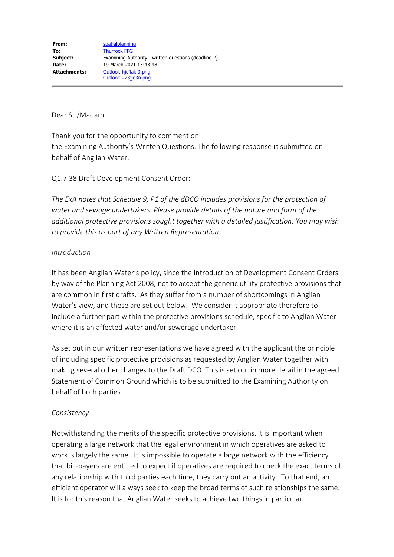Dear Sir/Madam,

Thank you for the opportunity to comment on the Examining Authority's Written Questions. The following response is submitted on behalf of Anglian Water.

Q1.7.38 Draft Development Consent Order:

*The ExA notes that Schedule 9, P1 of the dDCO includes provisions for the protection of water and sewage undertakers. Please provide details of the nature and form of the additional protective provisions sought together with a detailed justification. You may wish to provide this as part of any Written Representation.*

#### *Introduction*

It has been Anglian Water's policy, since the introduction of Development Consent Orders by way of the Planning Act 2008, not to accept the generic utility protective provisions that are common in first drafts. As they suffer from a number of shortcomings in Anglian Water's view, and these are set out below. We consider it appropriate therefore to include a further part within the protective provisions schedule, specific to Anglian Water where it is an affected water and/or sewerage undertaker.

As set out in our written representations we have agreed with the applicant the principle of including specific protective provisions as requested by Anglian Water together with making several other changes to the Draft DCO. This is set out in more detail in the agreed Statement of Common Ground which is to be submitted to the Examining Authority on behalf of both parties.

### *Consistency*

Notwithstanding the merits of the specific protective provisions, it is important when operating a large network that the legal environment in which operatives are asked to work is largely the same. It is impossible to operate a large network with the efficiency that bill-payers are entitled to expect if operatives are required to check the exact terms of any relationship with third parties each time, they carry out an activity. To that end, an efficient operator will always seek to keep the broad terms of such relationships the same. It is for this reason that Anglian Water seeks to achieve two things in particular.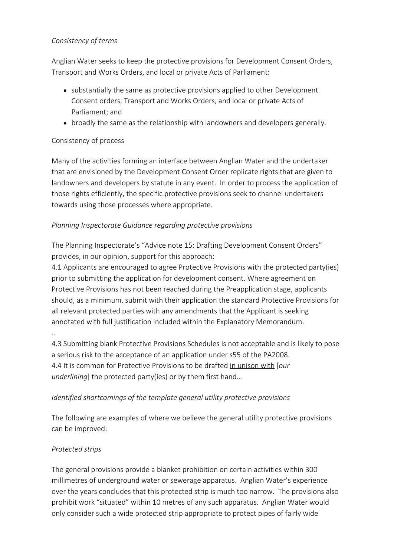## *Consistency of terms*

Anglian Water seeks to keep the protective provisions for Development Consent Orders, Transport and Works Orders, and local or private Acts of Parliament:

- substantially the same as protective provisions applied to other Development Consent orders, Transport and Works Orders, and local or private Acts of Parliament; and
- broadly the same as the relationship with landowners and developers generally.

## Consistency of process

Many of the activities forming an interface between Anglian Water and the undertaker that are envisioned by the Development Consent Order replicate rights that are given to landowners and developers by statute in any event. In order to process the application of those rights efficiently, the specific protective provisions seek to channel undertakers towards using those processes where appropriate.

## *Planning Inspectorate Guidance regarding protective provisions*

The Planning Inspectorate's "Advice note 15: Drafting Development Consent Orders" provides, in our opinion, support for this approach:

4.1 Applicants are encouraged to agree Protective Provisions with the protected party(ies) prior to submitting the application for development consent. Where agreement on Protective Provisions has not been reached during the Preapplication stage, applicants should, as a minimum, submit with their application the standard Protective Provisions for all relevant protected parties with any amendments that the Applicant is seeking annotated with full justification included within the Explanatory Memorandum.

…

4.3 Submitting blank Protective Provisions Schedules is not acceptable and is likely to pose a serious risk to the acceptance of an application under s55 of the PA2008. 4.4 It is common for Protective Provisions to be drafted in unison with [*our underlining*] the protected party(ies) or by them first hand…

# *Identified shortcomings of the template general utility protective provisions*

The following are examples of where we believe the general utility protective provisions can be improved:

# *Protected strips*

The general provisions provide a blanket prohibition on certain activities within 300 millimetres of underground water or sewerage apparatus. Anglian Water's experience over the years concludes that this protected strip is much too narrow. The provisions also prohibit work "situated" within 10 metres of any such apparatus. Anglian Water would only consider such a wide protected strip appropriate to protect pipes of fairly wide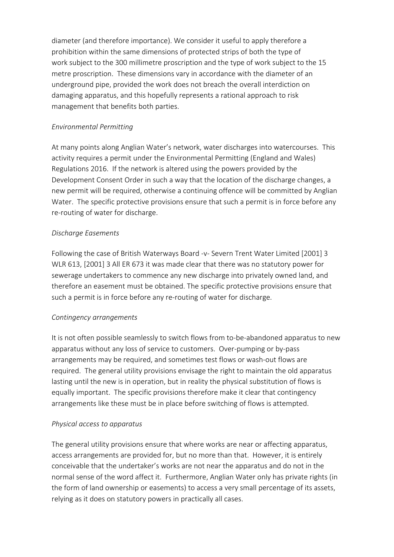diameter (and therefore importance). We consider it useful to apply therefore a prohibition within the same dimensions of protected strips of both the type of work subject to the 300 millimetre proscription and the type of work subject to the 15 metre proscription. These dimensions vary in accordance with the diameter of an underground pipe, provided the work does not breach the overall interdiction on damaging apparatus, and this hopefully represents a rational approach to risk management that benefits both parties.

## *Environmental Permitting*

At many points along Anglian Water's network, water discharges into watercourses. This activity requires a permit under the Environmental Permitting (England and Wales) Regulations 2016. If the network is altered using the powers provided by the Development Consent Order in such a way that the location of the discharge changes, a new permit will be required, otherwise a continuing offence will be committed by Anglian Water. The specific protective provisions ensure that such a permit is in force before any re-routing of water for discharge.

## *Discharge Easements*

Following the case of British Waterways Board -v- Severn Trent Water Limited [2001] 3 WLR 613, [2001] 3 All ER 673 it was made clear that there was no statutory power for sewerage undertakers to commence any new discharge into privately owned land, and therefore an easement must be obtained. The specific protective provisions ensure that such a permit is in force before any re-routing of water for discharge.

### *Contingency arrangements*

It is not often possible seamlessly to switch flows from to-be-abandoned apparatus to new apparatus without any loss of service to customers. Over-pumping or by-pass arrangements may be required, and sometimes test flows or wash-out flows are required. The general utility provisions envisage the right to maintain the old apparatus lasting until the new is in operation, but in reality the physical substitution of flows is equally important. The specific provisions therefore make it clear that contingency arrangements like these must be in place before switching of flows is attempted.

### *Physical access to apparatus*

The general utility provisions ensure that where works are near or affecting apparatus, access arrangements are provided for, but no more than that. However, it is entirely conceivable that the undertaker's works are not near the apparatus and do not in the normal sense of the word affect it. Furthermore, Anglian Water only has private rights (in the form of land ownership or easements) to access a very small percentage of its assets, relying as it does on statutory powers in practically all cases.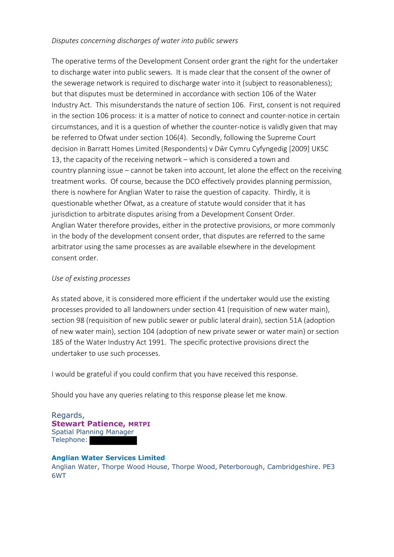#### *Disputes concerning discharges of water into public sewers*

The operative terms of the Development Consent order grant the right for the undertaker to discharge water into public sewers. It is made clear that the consent of the owner of the sewerage network is required to discharge water into it (subject to reasonableness); but that disputes must be determined in accordance with section 106 of the Water Industry Act. This misunderstands the nature of section 106. First, consent is not required in the section 106 process: it is a matter of notice to connect and counter-notice in certain circumstances, and it is a question of whether the counter-notice is validly given that may be referred to Ofwat under section 106(4). Secondly, following the Supreme Court decision in Barratt Homes Limited (Respondents) v Dŵr Cymru Cyfyngedig [2009] UKSC 13, the capacity of the receiving network – which is considered a town and country planning issue – cannot be taken into account, let alone the effect on the receiving treatment works. Of course, because the DCO effectively provides planning permission, there is nowhere for Anglian Water to raise the question of capacity. Thirdly, it is questionable whether Ofwat, as a creature of statute would consider that it has jurisdiction to arbitrate disputes arising from a Development Consent Order. Anglian Water therefore provides, either in the protective provisions, or more commonly in the body of the development consent order, that disputes are referred to the same arbitrator using the same processes as are available elsewhere in the development consent order.

#### *Use of existing processes*

As stated above, it is considered more efficient if the undertaker would use the existing processes provided to all landowners under section 41 (requisition of new water main), section 98 (requisition of new public sewer or public lateral drain), section 51A (adoption of new water main), section 104 (adoption of new private sewer or water main) or section 185 of the Water Industry Act 1991. The specific protective provisions direct the undertaker to use such processes.

I would be grateful if you could confirm that you have received this response.

Should you have any queries relating to this response please let me know.

Regards, **Stewart Patience, MRTPI** Spatial Planning Manager Telephone:

#### **Anglian Water Services Limited**

Anglian Water, Thorpe Wood House, Thorpe Wood, Peterborough, Cambridgeshire. PE3 6WT